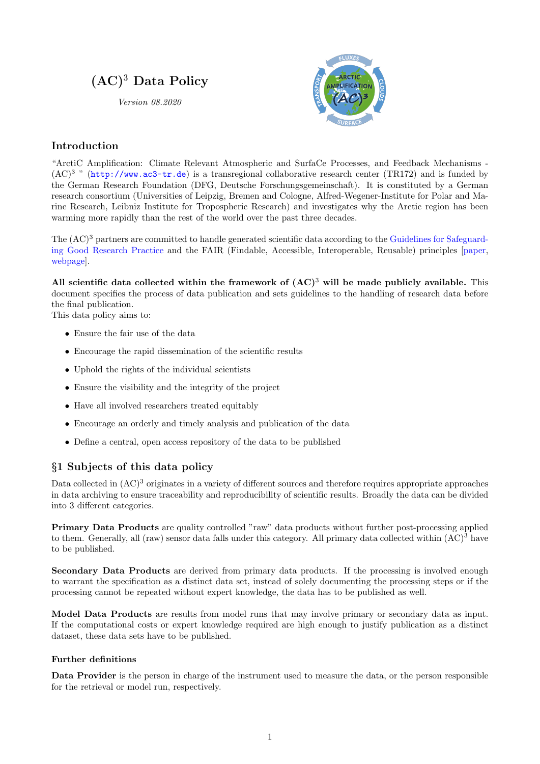# $(AC)^3$  Data Policy

Version 08.2020



### Introduction

"ArctiC Amplification: Climate Relevant Atmospheric and SurfaCe Processes, and Feedback Mechanisms -  $(AC)^3$  " (<http://www.ac3-tr.de>) is a transregional collaborative research center (TR172) and is funded by the German Research Foundation (DFG, Deutsche Forschungsgemeinschaft). It is constituted by a German research consortium (Universities of Leipzig, Bremen and Cologne, Alfred-Wegener-Institute for Polar and Marine Research, Leibniz Institute for Tropospheric Research) and investigates why the Arctic region has been warming more rapidly than the rest of the world over the past three decades.

The  $(AC)^3$  partners are committed to handle generated scientific data according to the [Guidelines for Safeguard](https://www.dfg.de/download/pdf/foerderung/rechtliche_rahmenbedingungen/gute_wissenschaftliche_praxis/kodex_gwp_en.pdf)[ing Good Research Practice](https://www.dfg.de/download/pdf/foerderung/rechtliche_rahmenbedingungen/gute_wissenschaftliche_praxis/kodex_gwp_en.pdf) and the FAIR (Findable, Accessible, Interoperable, Reusable) principles [\[paper,](https://doi.org/10.1038/sdata.2016.18) [webpage\]](https://www.go-fair.org/fair-principles/).

All scientific data collected within the framework of  $(AC)^3$  will be made publicly available. This document specifies the process of data publication and sets guidelines to the handling of research data before the final publication.

This data policy aims to:

- Ensure the fair use of the data
- Encourage the rapid dissemination of the scientific results
- Uphold the rights of the individual scientists
- Ensure the visibility and the integrity of the project
- Have all involved researchers treated equitably
- Encourage an orderly and timely analysis and publication of the data
- Define a central, open access repository of the data to be published

### §1 Subjects of this data policy

Data collected in  $(AC)^3$  originates in a variety of different sources and therefore requires appropriate approaches in data archiving to ensure traceability and reproducibility of scientific results. Broadly the data can be divided into 3 different categories.

Primary Data Products are quality controlled "raw" data products without further post-processing applied to them. Generally, all (raw) sensor data falls under this category. All primary data collected within  $(AC)^3$  have to be published.

Secondary Data Products are derived from primary data products. If the processing is involved enough to warrant the specification as a distinct data set, instead of solely documenting the processing steps or if the processing cannot be repeated without expert knowledge, the data has to be published as well.

Model Data Products are results from model runs that may involve primary or secondary data as input. If the computational costs or expert knowledge required are high enough to justify publication as a distinct dataset, these data sets have to be published.

#### Further definitions

Data Provider is the person in charge of the instrument used to measure the data, or the person responsible for the retrieval or model run, respectively.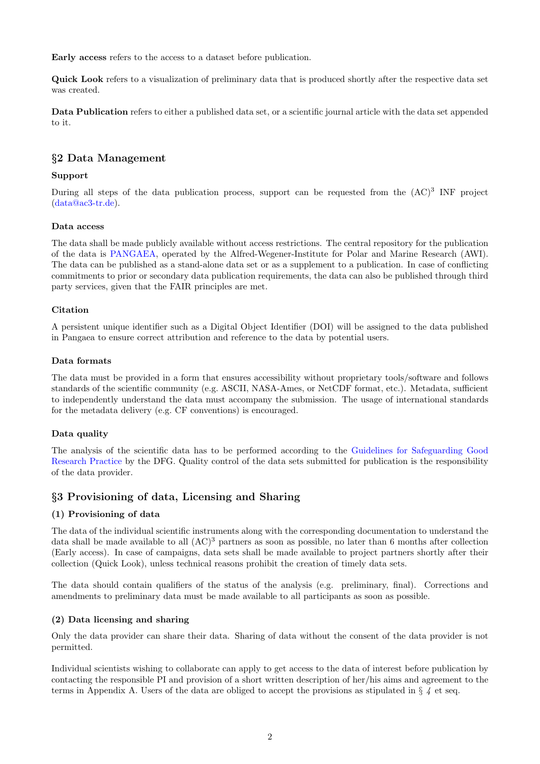Early access refers to the access to a dataset before publication.

Quick Look refers to a visualization of preliminary data that is produced shortly after the respective data set was created.

Data Publication refers to either a published data set, or a scientific journal article with the data set appended to it.

### §2 Data Management

### Support

During all steps of the data publication process, support can be requested from the  $(AC)^3$  INF project [\(data@ac3-tr.de\)](mailto:data@ac3-tr.de).

#### Data access

The data shall be made publicly available without access restrictions. The central repository for the publication of the data is [PANGAEA,](https://pangaea.de/) operated by the Alfred-Wegener-Institute for Polar and Marine Research (AWI). The data can be published as a stand-alone data set or as a supplement to a publication. In case of conflicting commitments to prior or secondary data publication requirements, the data can also be published through third party services, given that the FAIR principles are met.

### Citation

A persistent unique identifier such as a Digital Object Identifier (DOI) will be assigned to the data published in Pangaea to ensure correct attribution and reference to the data by potential users.

#### Data formats

The data must be provided in a form that ensures accessibility without proprietary tools/software and follows standards of the scientific community (e.g. ASCII, NASA-Ames, or NetCDF format, etc.). Metadata, sufficient to independently understand the data must accompany the submission. The usage of international standards for the metadata delivery (e.g. CF conventions) is encouraged.

#### Data quality

The analysis of the scientific data has to be performed according to the [Guidelines for Safeguarding Good](https://www.dfg.de/download/pdf/foerderung/rechtliche_rahmenbedingungen/gute_wissenschaftliche_praxis/kodex_gwp_en.pdf) [Research Practice](https://www.dfg.de/download/pdf/foerderung/rechtliche_rahmenbedingungen/gute_wissenschaftliche_praxis/kodex_gwp_en.pdf) by the DFG. Quality control of the data sets submitted for publication is the responsibility of the data provider.

### §3 Provisioning of data, Licensing and Sharing

#### (1) Provisioning of data

The data of the individual scientific instruments along with the corresponding documentation to understand the data shall be made available to all  $(AC)^3$  partners as soon as possible, no later than 6 months after collection (Early access). In case of campaigns, data sets shall be made available to project partners shortly after their collection (Quick Look), unless technical reasons prohibit the creation of timely data sets.

The data should contain qualifiers of the status of the analysis (e.g. preliminary, final). Corrections and amendments to preliminary data must be made available to all participants as soon as possible.

#### (2) Data licensing and sharing

Only the data provider can share their data. Sharing of data without the consent of the data provider is not permitted.

Individual scientists wishing to collaborate can apply to get access to the data of interest before publication by contacting the responsible PI and provision of a short written description of her/his aims and agreement to the terms in Appendix A. Users of the data are obliged to accept the provisions as stipulated in  $\S \ A$  et seq.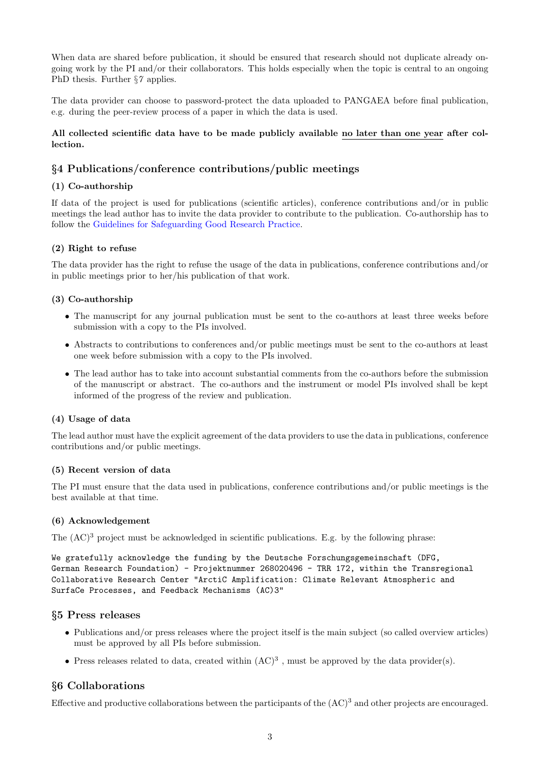When data are shared before publication, it should be ensured that research should not duplicate already ongoing work by the PI and/or their collaborators. This holds especially when the topic is central to an ongoing PhD thesis. Further  $\S 7$  applies.

The data provider can choose to password-protect the data uploaded to PANGAEA before final publication, e.g. during the peer-review process of a paper in which the data is used.

### All collected scientific data have to be made publicly available no later than one year after collection.

### §4 Publications/conference contributions/public meetings

### (1) Co-authorship

If data of the project is used for publications (scientific articles), conference contributions and/or in public meetings the lead author has to invite the data provider to contribute to the publication. Co-authorship has to follow the [Guidelines for Safeguarding Good Research Practice.](https://www.dfg.de/download/pdf/foerderung/rechtliche_rahmenbedingungen/gute_wissenschaftliche_praxis/kodex_gwp_en.pdf)

### (2) Right to refuse

The data provider has the right to refuse the usage of the data in publications, conference contributions and/or in public meetings prior to her/his publication of that work.

### (3) Co-authorship

- The manuscript for any journal publication must be sent to the co-authors at least three weeks before submission with a copy to the PIs involved.
- Abstracts to contributions to conferences and/or public meetings must be sent to the co-authors at least one week before submission with a copy to the PIs involved.
- The lead author has to take into account substantial comments from the co-authors before the submission of the manuscript or abstract. The co-authors and the instrument or model PIs involved shall be kept informed of the progress of the review and publication.

#### (4) Usage of data

The lead author must have the explicit agreement of the data providers to use the data in publications, conference contributions and/or public meetings.

#### (5) Recent version of data

The PI must ensure that the data used in publications, conference contributions and/or public meetings is the best available at that time.

#### (6) Acknowledgement

The  $(AC)^3$  project must be acknowledged in scientific publications. E.g. by the following phrase:

We gratefully acknowledge the funding by the Deutsche Forschungsgemeinschaft (DFG, German Research Foundation) - Projektnummer 268020496 - TRR 172, within the Transregional Collaborative Research Center "ArctiC Amplification: Climate Relevant Atmospheric and SurfaCe Processes, and Feedback Mechanisms (AC)3"

### §5 Press releases

- Publications and/or press releases where the project itself is the main subject (so called overview articles) must be approved by all PIs before submission.
- Press releases related to data, created within  $(AC)^3$ , must be approved by the data provider(s).

### §6 Collaborations

Effective and productive collaborations between the participants of the  $(AC)^3$  and other projects are encouraged.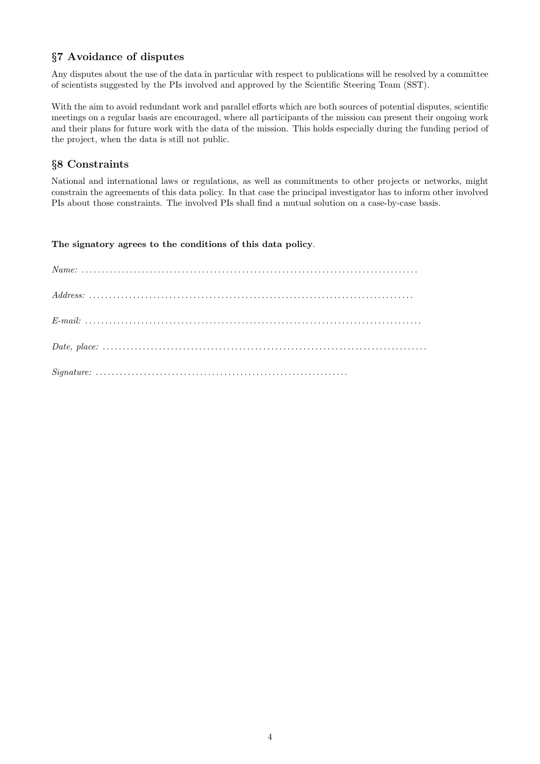### §7 Avoidance of disputes

Any disputes about the use of the data in particular with respect to publications will be resolved by a committee of scientists suggested by the PIs involved and approved by the Scientific Steering Team (SST).

With the aim to avoid redundant work and parallel efforts which are both sources of potential disputes, scientific meetings on a regular basis are encouraged, where all participants of the mission can present their ongoing work and their plans for future work with the data of the mission. This holds especially during the funding period of the project, when the data is still not public.

### §8 Constraints

National and international laws or regulations, as well as commitments to other projects or networks, might constrain the agreements of this data policy. In that case the principal investigator has to inform other involved PIs about those constraints. The involved PIs shall find a mutual solution on a case-by-case basis.

The signatory agrees to the conditions of this data policy.